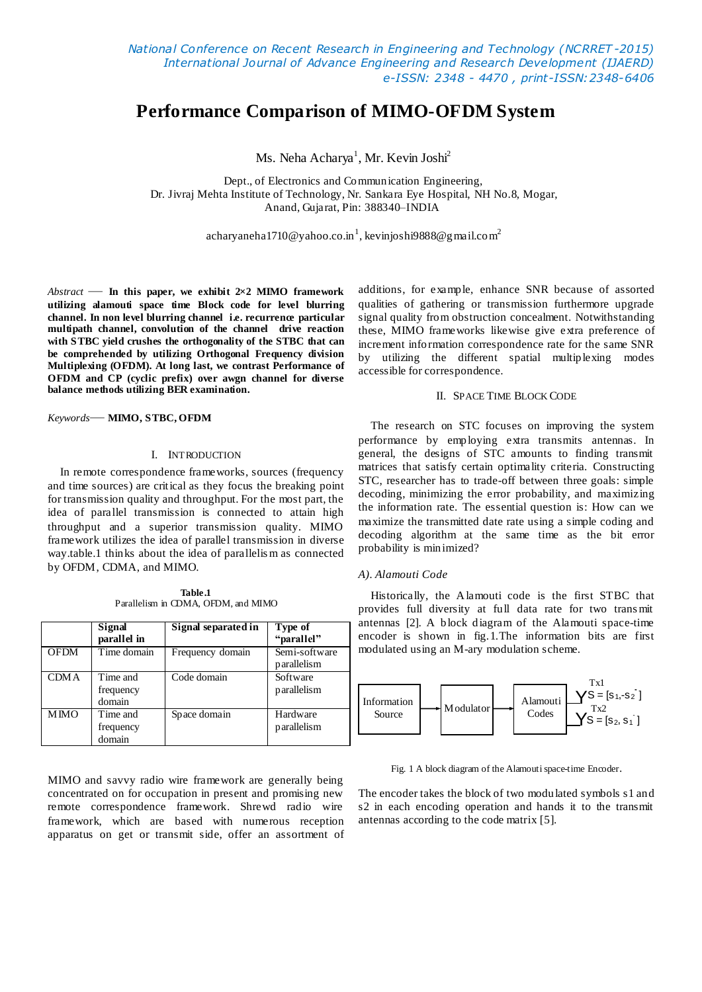# **Performance Comparison of MIMO-OFDM System**

Ms. Neha Acharya<sup>1</sup>, Mr. Kevin Joshi<sup>2</sup>

Dept., of Electronics and Communication Engineering, Dr. Jivraj Mehta Institute of Technology, Nr. Sankara Eye Hospital, NH No.8, Mogar, Anand, Gujarat, Pin: 388340–INDIA

[acharyaneha1710@yahoo.co.in](mailto:acharyaneha1710@yahoo.co.in1) $^{\rm l}$ [, kevinjoshi9888@gmail.com](mailto:acharyaneha1710@yahoo.co.in1) $^{\rm 2}$ 

*Abstract* — **In this paper, we exhibit 2×2 MIMO framework utilizing alamouti space time Block code for level blurring channel. In non level blurring channel i.e. recurrence particular multipath channel, convolution of the channel drive reaction with STBC yield crushes the orthogonality of the STBC that can be comprehended by utilizing Orthogonal Frequency division Multiplexing (OFDM). At long last, we contrast Performance of OFDM and CP (cyclic prefix) over awgn channel for diverse balance methods utilizing BER examination.**

*Keywords*— **MIMO, STBC, OFDM**

#### I. INTRODUCTION

In remote correspondence frameworks, sources (frequency and time sources) are critical as they focus the breaking point for transmission quality and throughput. For the most part, the idea of parallel transmission is connected to attain high throughput and a superior transmission quality. MIMO framework utilizes the idea of parallel transmission in diverse way.table.1 thinks about the idea of parallelis m as connected by OFDM, CDMA, and MIMO.

**Table.1** Parallelism in CDMA, OFDM, and MIMO

|             | Signal<br>parallel in           | Signal separated in | Type of<br>"parallel"        |
|-------------|---------------------------------|---------------------|------------------------------|
| <b>OFDM</b> | Time domain                     | Frequency domain    | Semi-software<br>parallelism |
| <b>CDMA</b> | Time and<br>frequency<br>domain | Code domain         | Software<br>parallelism      |
| <b>MMO</b>  | Time and<br>frequency<br>domain | Space domain        | Hardware<br>parallelism      |

MIMO and savvy radio wire framework are generally being concentrated on for occupation in present and promising new remote correspondence framework. Shrewd radio wire framework, which are based with numerous reception apparatus on get or transmit side, offer an assortment of additions, for example, enhance SNR because of assorted qualities of gathering or transmission furthermore upgrade signal quality from obstruction concealment. Notwithstanding these, MIMO frameworks likewise give extra preference of increment information correspondence rate for the same SNR by utilizing the different spatial multiplexing modes accessible for correspondence.

# II. SPACE TIME BLOCK CODE

The research on STC focuses on improving the system performance by employing extra transmits antennas. In general, the designs of STC amounts to finding transmit matrices that satisfy certain optimality criteria. Constructing STC, researcher has to trade-off between three goals: simple decoding, minimizing the error probability, and maximizing the information rate. The essential question is: How can we maximize the transmitted date rate using a simple coding and decoding algorithm at the same time as the bit error probability is minimized?

#### *A). Alamouti Code*

Historically, the Alamouti code is the first STBC that provides full diversity at full data rate for two trans mit antennas [2]. A block diagram of the Alamouti space-time encoder is shown in fig.1.The information bits are first modulated using an M-ary modulation scheme.



Fig. 1 A block diagram of the Alamouti space-time Encoder.

The encoder takes the block of two modulated symbols s1 and s2 in each encoding operation and hands it to the transmit antennas according to the code matrix [5].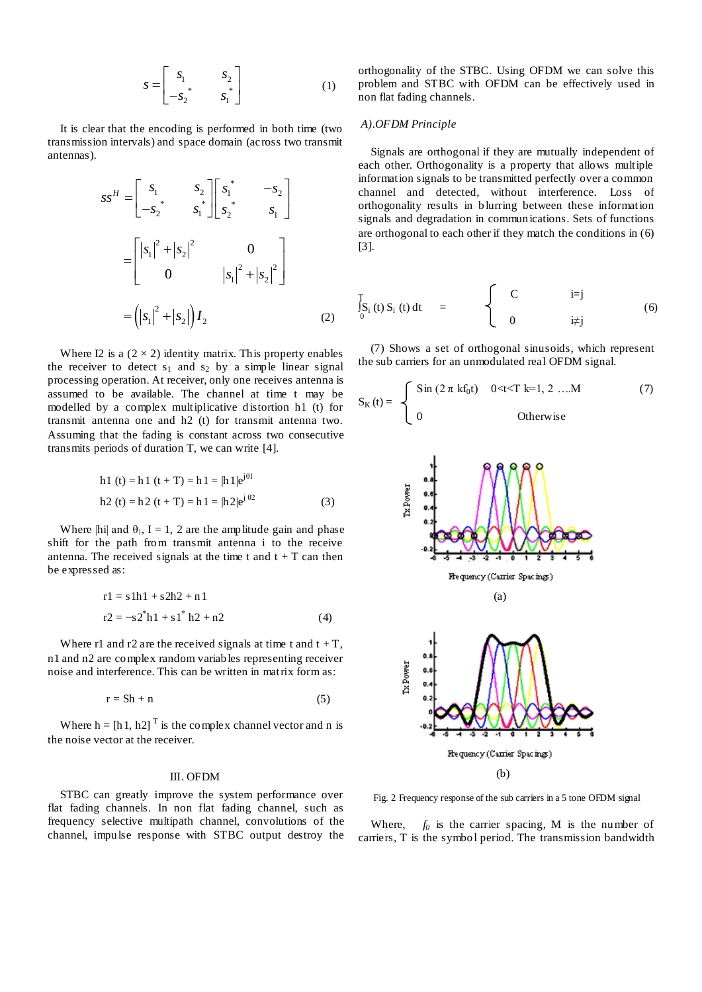$$
S = \begin{bmatrix} S_1 & S_2 \\ -S_2^* & S_1^* \end{bmatrix} \tag{1}
$$

It is clear that the encoding is performed in both time (two transmission intervals) and space domain (across two transmit antennas).

$$
ss^{H} = \begin{bmatrix} s_{1} & s_{2} \ -s_{2}^{*} & s_{1}^{*} \end{bmatrix} \begin{bmatrix} s_{1}^{*} & -s_{2} \ s_{2}^{*} & s_{1} \end{bmatrix}
$$

$$
= \begin{bmatrix} |s_{1}|^{2} + |s_{2}|^{2} & 0 \\ 0 & |s_{1}|^{2} + |s_{2}|^{2} \end{bmatrix}
$$

$$
= (|s_{1}|^{2} + |s_{2}|) I_{2}
$$
(2)

Where I2 is a  $(2 \times 2)$  identity matrix. This property enables the receiver to detect  $s_1$  and  $s_2$  by a simple linear signal processing operation. At receiver, only one receives antenna is assumed to be available. The channel at time t may be modelled by a complex multiplicative distortion h1 (t) for transmit antenna one and h2 (t) for transmit antenna two. Assuming that the fading is constant across two consecutive transmits periods of duration T, we can write [4].

h1 (t) = h1 (t + T) = h1 = 
$$
|h1|e^{i\theta}
$$
  
h2 (t) = h2 (t + T) = h1 =  $|h2|e^{i\theta^2}$  (3)

Where  $\left| \text{hi} \right|$  and  $\theta_i$ , I = 1, 2 are the amplitude gain and phase shift for the path from transmit antenna i to the receive antenna. The received signals at the time t and  $t + T$  can then be expressed as:

$$
r1 = s1h1 + s2h2 + n1
$$
  

$$
r2 = -s2 \cdot h1 + s1 \cdot h2 + n2
$$
 (4)

Where r1 and r2 are the received signals at time t and  $t + T$ , n1 and n2 are complex random variables representing receiver noise and interference. This can be written in matrix form as:

$$
r = Sh + n \tag{5}
$$

Where  $h = [h 1, h2]$ <sup>T</sup> is the complex channel vector and n is the noise vector at the receiver.

#### III. OFDM

STBC can greatly improve the system performance over flat fading channels. In non flat fading channel, such as frequency selective multipath channel, convolutions of the channel, impulse response with STBC output destroy the orthogonality of the STBC. Using OFDM we can solve this problem and STBC with OFDM can be effectively used in non flat fading channels.

## *A).OFDM Principle*

Signals are orthogonal if they are mutually independent of each other. Orthogonality is a property that allows multiple information signals to be transmitted perfectly over a common channel and detected, without interference. Loss of orthogonality results in b lurring between these information signals and degradation in communications. Sets of functions are orthogonal to each other if they match the conditions in (6) [3].

$$
\int_{0}^{T} S_i(t) S_i(t) dt = \begin{cases} C & i=j \\ 0 & i \neq j \end{cases}
$$
 (6)

(7) Shows a set of orthogonal sinusoids, which represent the sub carriers for an unmodulated real OFDM signal.

$$
S_{K}(t) = \begin{cases} \sin (2 \pi k f_0 t) & 0 < t < T k = 1, 2 ... M \\ 0 & \text{Otherwise} \end{cases}
$$
 (7)



Fig. 2 Frequency response of the sub carriers in a 5 tone OFDM signal

Where,  $f_0$  is the carrier spacing, M is the number of carriers, T is the symbol period. The transmission bandwidth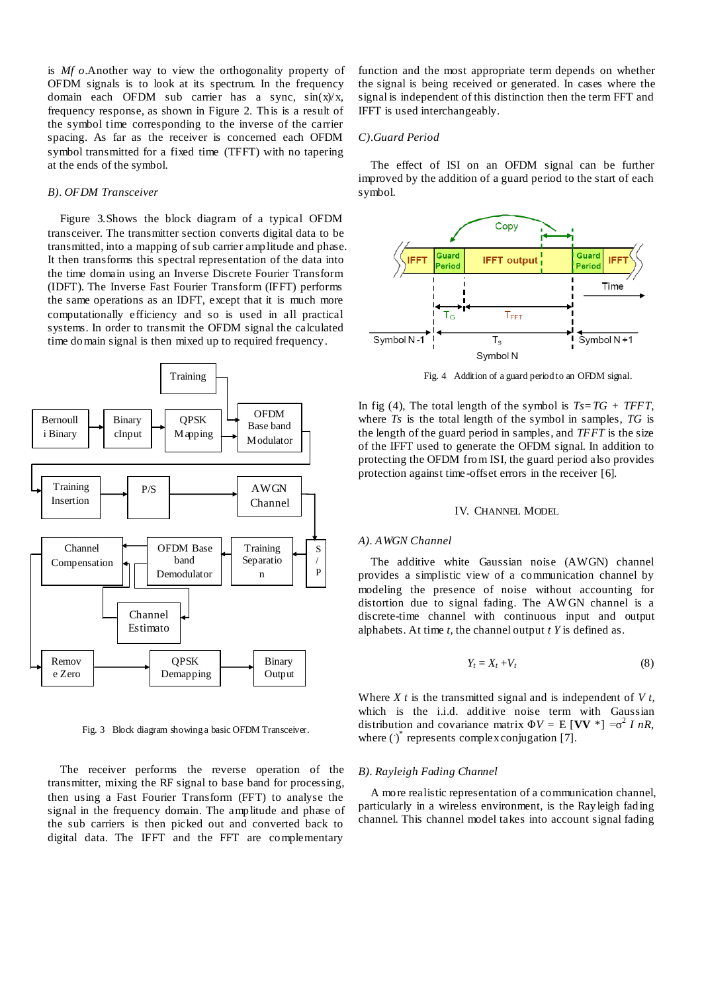is *Mf o*.Another way to view the orthogonality property of OFDM signals is to look at its spectrum. In the frequency domain each OFDM sub carrier has a sync, sin(x)/x*,*  frequency response, as shown in Figure 2. This is a result of the symbol time corresponding to the inverse of the carrier spacing. As far as the receiver is concerned each OFDM symbol transmitted for a fixed time (TFFT) with no tapering at the ends of the symbol.

## *B). OFDM Transceiver*

Figure 3.Shows the block diagram of a typical OFDM transceiver. The transmitter section converts digital data to be transmitted, into a mapping of sub carrier amplitude and phase. It then transforms this spectral representation of the data into the time domain using an Inverse Discrete Fourier Transform (IDFT). The Inverse Fast Fourier Transform (IFFT) performs the same operations as an IDFT, except that it is much more computationally efficiency and so is used in all practical systems. In order to transmit the OFDM signal the calculated time domain signal is then mixed up to required frequency.



Fig. 3Block diagram showing a basic OFDM Transceiver.

The receiver performs the reverse operation of the transmitter, mixing the RF signal to base band for processing, then using a Fast Fourier Transform (FFT) to analyse the signal in the frequency domain. The amplitude and phase of the sub carriers is then picked out and converted back to digital data. The IFFT and the FFT are complementary

function and the most appropriate term depends on whether the signal is being received or generated. In cases where the signal is independent of this distinction then the term FFT and IFFT is used interchangeably.

## *C).Guard Period*

The effect of ISI on an OFDM signal can be further improved by the addition of a guard period to the start of each symbol.



Fig. 4Addition of a guard period to an OFDM signal.

In fig (4), The total length of the symbol is  $Ts = TG + TFFT$ , where *Ts* is the total length of the symbol in samples, *TG* is the length of the guard period in samples, and *TFFT* is the size of the IFFT used to generate the OFDM signal. In addition to protecting the OFDM from ISI, the guard period also provides protection against time -offset errors in the receiver [6].

## IV. CHANNEL MODEL

## *A). AWGN Channel*

The additive white Gaussian noise (AWGN) channel provides a simplistic view of a communication channel by modeling the presence of noise without accounting for distortion due to signal fading. The AW GN channel is a discrete-time channel with continuous input and output alphabets. At time *t,* the channel output *t Y* is defined as.

$$
Y_t = X_t + V_t \tag{8}
$$

Where *X t* is the transmitted signal and is independent of *V t,* which is the i.i.d. additive noise term with Gaussian distribution and covariance matrix  $\Phi V = E$  [VV  $^*$ ] =  $\sigma^2 I nR$ , where  $(\cdot)^*$  represents complex conjugation [7].

#### *B). Rayleigh Fading Channel*

A more realistic representation of a communication channel, particularly in a wireless environment, is the Rayleigh fading channel. This channel model takes into account signal fading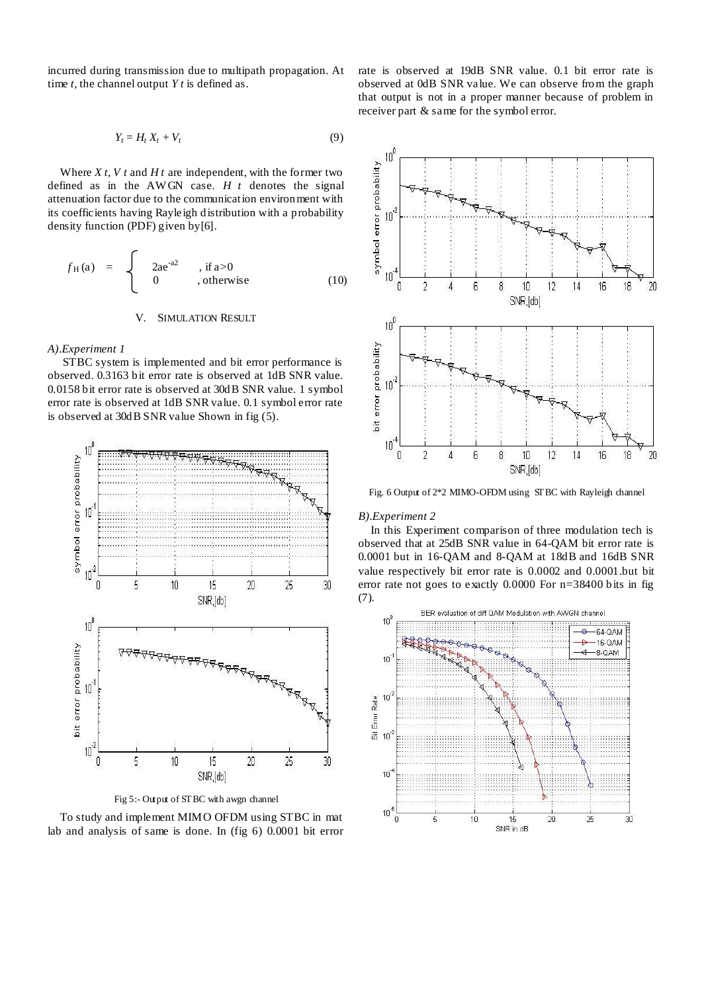incurred during transmission due to multipath propagation. At time *t,* the channel output *Y t* is defined as.

$$
Y_t = H_t X_t + V_t \tag{9}
$$

Where *X t, V t* and *H t* are independent, with the former two defined as in the AW GN case. *H t* denotes the signal attenuation factor due to the communication environment with its coefficients having Rayleigh distribution with a probability density function (PDF) given by[6].

$$
f_{\rm H}(a) = \begin{cases} 2ae^{-a^2} , if a > 0 \\ 0 , otherwise \end{cases}
$$
 (10)

# V. SIMULATION RESULT

## *A).Experiment 1*

STBC system is implemented and bit error performance is observed. 0.3163 bit error rate is observed at 1dB SNR value. 0.0158 bit error rate is observed at 30dB SNR value. 1 symbol error rate is observed at 1dB SNR value. 0.1 symbol error rate is observed at 30dB SNR value Shown in fig (5).



Fig 5:- Output of STBC with awgn channel

To study and implement MIMO OFDM using STBC in mat lab and analysis of same is done. In (fig 6) 0.0001 bit error rate is observed at 19dB SNR value. 0.1 bit error rate is observed at 0dB SNR value. We can observe from the graph that output is not in a proper manner because of problem in receiver part & same for the symbol error.



Fig. 6 Output of 2\*2 MIMO-OFDM using STBC with Rayleigh channel

# *B).Experiment 2*

In this Experiment comparison of three modulation tech is observed that at 25dB SNR value in 64-QAM bit error rate is 0.0001 but in 16-QAM and 8-QAM at 18dB and 16dB SNR value respectively bit error rate is 0.0002 and 0.0001.but bit error rate not goes to exactly 0.0000 For n=38400 bits in fig (7).